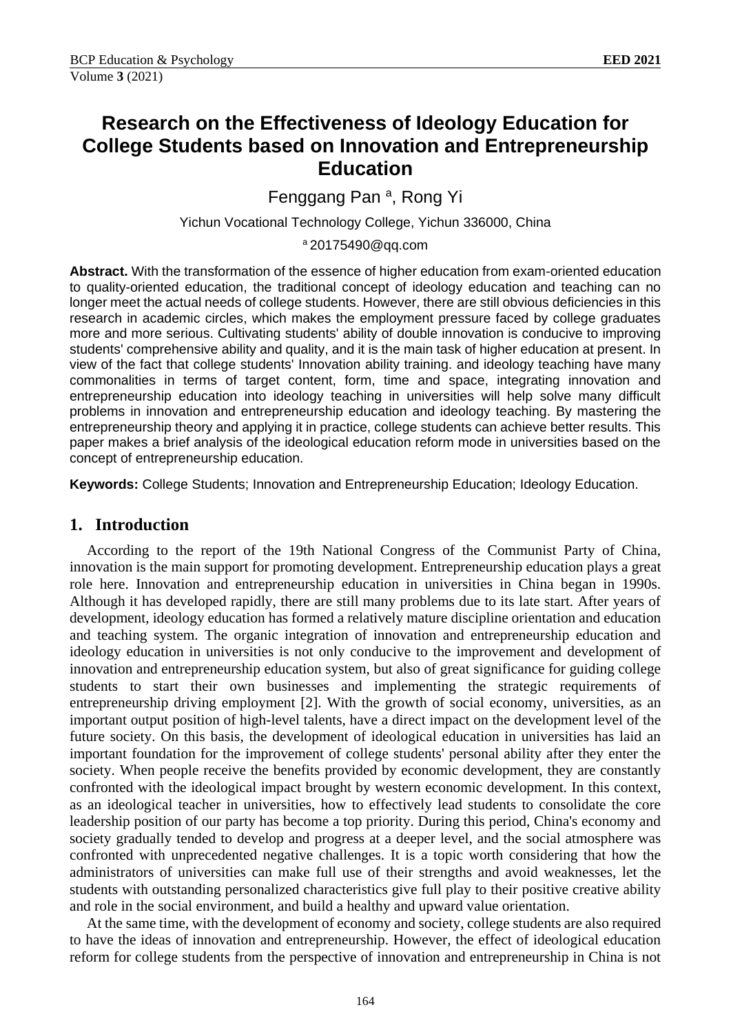# **Research on the Effectiveness of Ideology Education for College Students based on Innovation and Entrepreneurship Education**

Fenggang Pan<sup>a</sup>, Rong Yi

Yichun Vocational Technology College, Yichun 336000, China

<sup>a</sup> 20175490@qq.com

**Abstract.** With the transformation of the essence of higher education from exam-oriented education to quality-oriented education, the traditional concept of ideology education and teaching can no longer meet the actual needs of college students. However, there are still obvious deficiencies in this research in academic circles, which makes the employment pressure faced by college graduates more and more serious. Cultivating students' ability of double innovation is conducive to improving students' comprehensive ability and quality, and it is the main task of higher education at present. In view of the fact that college students' Innovation ability training. and ideology teaching have many commonalities in terms of target content, form, time and space, integrating innovation and entrepreneurship education into ideology teaching in universities will help solve many difficult problems in innovation and entrepreneurship education and ideology teaching. By mastering the entrepreneurship theory and applying it in practice, college students can achieve better results. This paper makes a brief analysis of the ideological education reform mode in universities based on the concept of entrepreneurship education.

**Keywords:** College Students; Innovation and Entrepreneurship Education; Ideology Education.

### **1. Introduction**

According to the report of the 19th National Congress of the Communist Party of China, innovation is the main support for promoting development. Entrepreneurship education plays a great role here. Innovation and entrepreneurship education in universities in China began in 1990s. Although it has developed rapidly, there are still many problems due to its late start. After years of development, ideology education has formed a relatively mature discipline orientation and education and teaching system. The organic integration of innovation and entrepreneurship education and ideology education in universities is not only conducive to the improvement and development of innovation and entrepreneurship education system, but also of great significance for guiding college students to start their own businesses and implementing the strategic requirements of entrepreneurship driving employment [2]. With the growth of social economy, universities, as an important output position of high-level talents, have a direct impact on the development level of the future society. On this basis, the development of ideological education in universities has laid an important foundation for the improvement of college students' personal ability after they enter the society. When people receive the benefits provided by economic development, they are constantly confronted with the ideological impact brought by western economic development. In this context, as an ideological teacher in universities, how to effectively lead students to consolidate the core leadership position of our party has become a top priority. During this period, China's economy and society gradually tended to develop and progress at a deeper level, and the social atmosphere was confronted with unprecedented negative challenges. It is a topic worth considering that how the administrators of universities can make full use of their strengths and avoid weaknesses, let the students with outstanding personalized characteristics give full play to their positive creative ability and role in the social environment, and build a healthy and upward value orientation.

At the same time, with the development of economy and society, college students are also required to have the ideas of innovation and entrepreneurship. However, the effect of ideological education reform for college students from the perspective of innovation and entrepreneurship in China is not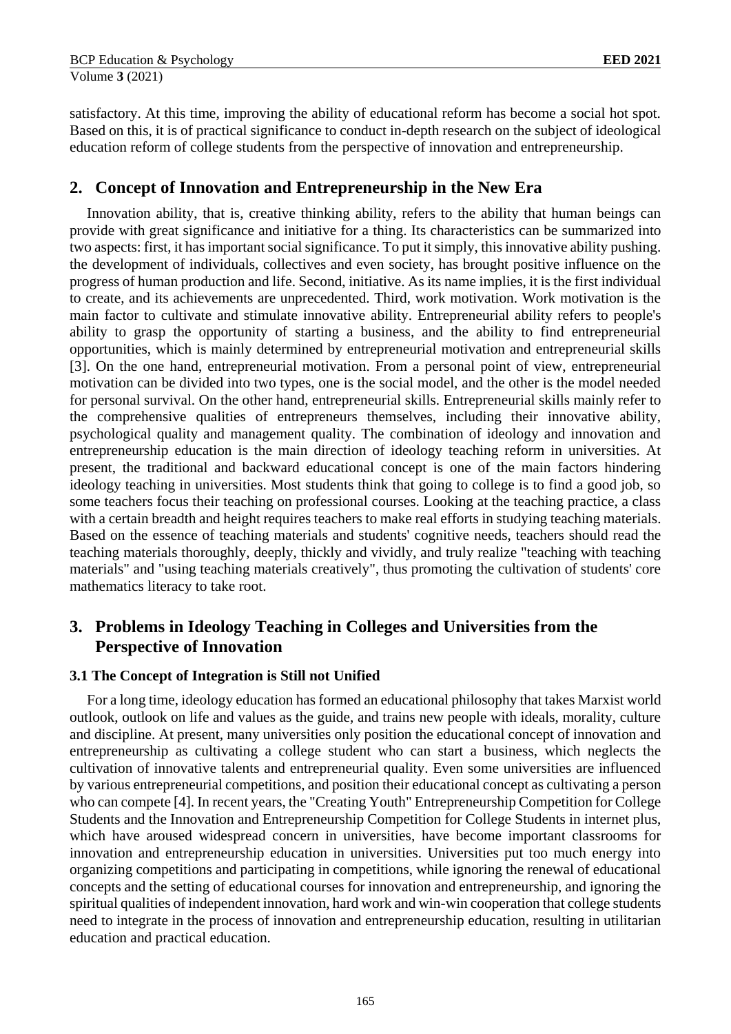satisfactory. At this time, improving the ability of educational reform has become a social hot spot. Based on this, it is of practical significance to conduct in-depth research on the subject of ideological education reform of college students from the perspective of innovation and entrepreneurship.

### **2. Concept of Innovation and Entrepreneurship in the New Era**

Innovation ability, that is, creative thinking ability, refers to the ability that human beings can provide with great significance and initiative for a thing. Its characteristics can be summarized into two aspects: first, it has important social significance. To put it simply, this innovative ability pushing. the development of individuals, collectives and even society, has brought positive influence on the progress of human production and life. Second, initiative. As its name implies, it is the first individual to create, and its achievements are unprecedented. Third, work motivation. Work motivation is the main factor to cultivate and stimulate innovative ability. Entrepreneurial ability refers to people's ability to grasp the opportunity of starting a business, and the ability to find entrepreneurial opportunities, which is mainly determined by entrepreneurial motivation and entrepreneurial skills [3]. On the one hand, entrepreneurial motivation. From a personal point of view, entrepreneurial motivation can be divided into two types, one is the social model, and the other is the model needed for personal survival. On the other hand, entrepreneurial skills. Entrepreneurial skills mainly refer to the comprehensive qualities of entrepreneurs themselves, including their innovative ability, psychological quality and management quality. The combination of ideology and innovation and entrepreneurship education is the main direction of ideology teaching reform in universities. At present, the traditional and backward educational concept is one of the main factors hindering ideology teaching in universities. Most students think that going to college is to find a good job, so some teachers focus their teaching on professional courses. Looking at the teaching practice, a class with a certain breadth and height requires teachers to make real efforts in studying teaching materials. Based on the essence of teaching materials and students' cognitive needs, teachers should read the teaching materials thoroughly, deeply, thickly and vividly, and truly realize "teaching with teaching materials" and "using teaching materials creatively", thus promoting the cultivation of students' core mathematics literacy to take root.

# **3. Problems in Ideology Teaching in Colleges and Universities from the Perspective of Innovation**

#### **3.1 The Concept of Integration is Still not Unified**

For a long time, ideology education has formed an educational philosophy that takes Marxist world outlook, outlook on life and values as the guide, and trains new people with ideals, morality, culture and discipline. At present, many universities only position the educational concept of innovation and entrepreneurship as cultivating a college student who can start a business, which neglects the cultivation of innovative talents and entrepreneurial quality. Even some universities are influenced by various entrepreneurial competitions, and position their educational concept as cultivating a person who can compete [4]. In recent years, the "Creating Youth" Entrepreneurship Competition for College Students and the Innovation and Entrepreneurship Competition for College Students in internet plus, which have aroused widespread concern in universities, have become important classrooms for innovation and entrepreneurship education in universities. Universities put too much energy into organizing competitions and participating in competitions, while ignoring the renewal of educational concepts and the setting of educational courses for innovation and entrepreneurship, and ignoring the spiritual qualities of independent innovation, hard work and win-win cooperation that college students need to integrate in the process of innovation and entrepreneurship education, resulting in utilitarian education and practical education.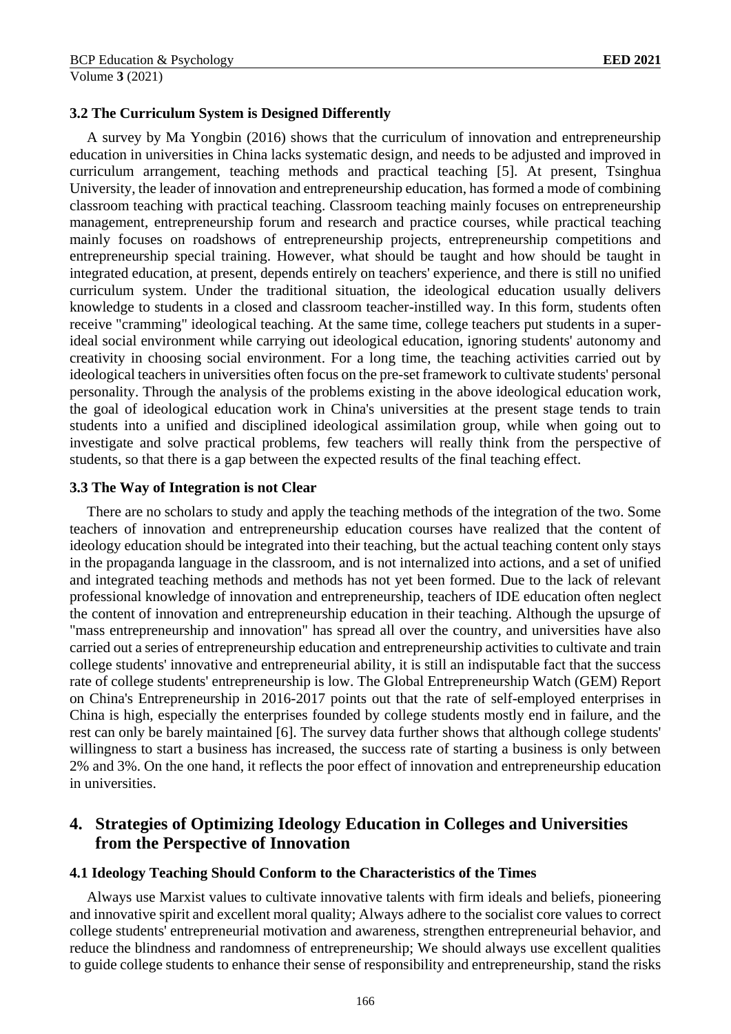#### **3.2 The Curriculum System is Designed Differently**

A survey by Ma Yongbin (2016) shows that the curriculum of innovation and entrepreneurship education in universities in China lacks systematic design, and needs to be adjusted and improved in curriculum arrangement, teaching methods and practical teaching [5]. At present, Tsinghua University, the leader of innovation and entrepreneurship education, has formed a mode of combining classroom teaching with practical teaching. Classroom teaching mainly focuses on entrepreneurship management, entrepreneurship forum and research and practice courses, while practical teaching mainly focuses on roadshows of entrepreneurship projects, entrepreneurship competitions and entrepreneurship special training. However, what should be taught and how should be taught in integrated education, at present, depends entirely on teachers' experience, and there is still no unified curriculum system. Under the traditional situation, the ideological education usually delivers knowledge to students in a closed and classroom teacher-instilled way. In this form, students often receive "cramming" ideological teaching. At the same time, college teachers put students in a superideal social environment while carrying out ideological education, ignoring students' autonomy and creativity in choosing social environment. For a long time, the teaching activities carried out by ideological teachers in universities often focus on the pre-set framework to cultivate students' personal personality. Through the analysis of the problems existing in the above ideological education work, the goal of ideological education work in China's universities at the present stage tends to train students into a unified and disciplined ideological assimilation group, while when going out to investigate and solve practical problems, few teachers will really think from the perspective of students, so that there is a gap between the expected results of the final teaching effect.

#### **3.3 The Way of Integration is not Clear**

There are no scholars to study and apply the teaching methods of the integration of the two. Some teachers of innovation and entrepreneurship education courses have realized that the content of ideology education should be integrated into their teaching, but the actual teaching content only stays in the propaganda language in the classroom, and is not internalized into actions, and a set of unified and integrated teaching methods and methods has not yet been formed. Due to the lack of relevant professional knowledge of innovation and entrepreneurship, teachers of IDE education often neglect the content of innovation and entrepreneurship education in their teaching. Although the upsurge of "mass entrepreneurship and innovation" has spread all over the country, and universities have also carried out a series of entrepreneurship education and entrepreneurship activities to cultivate and train college students' innovative and entrepreneurial ability, it is still an indisputable fact that the success rate of college students' entrepreneurship is low. The Global Entrepreneurship Watch (GEM) Report on China's Entrepreneurship in 2016-2017 points out that the rate of self-employed enterprises in China is high, especially the enterprises founded by college students mostly end in failure, and the rest can only be barely maintained [6]. The survey data further shows that although college students' willingness to start a business has increased, the success rate of starting a business is only between 2% and 3%. On the one hand, it reflects the poor effect of innovation and entrepreneurship education in universities.

# **4. Strategies of Optimizing Ideology Education in Colleges and Universities from the Perspective of Innovation**

#### **4.1 Ideology Teaching Should Conform to the Characteristics of the Times**

Always use Marxist values to cultivate innovative talents with firm ideals and beliefs, pioneering and innovative spirit and excellent moral quality; Always adhere to the socialist core values to correct college students' entrepreneurial motivation and awareness, strengthen entrepreneurial behavior, and reduce the blindness and randomness of entrepreneurship; We should always use excellent qualities to guide college students to enhance their sense of responsibility and entrepreneurship, stand the risks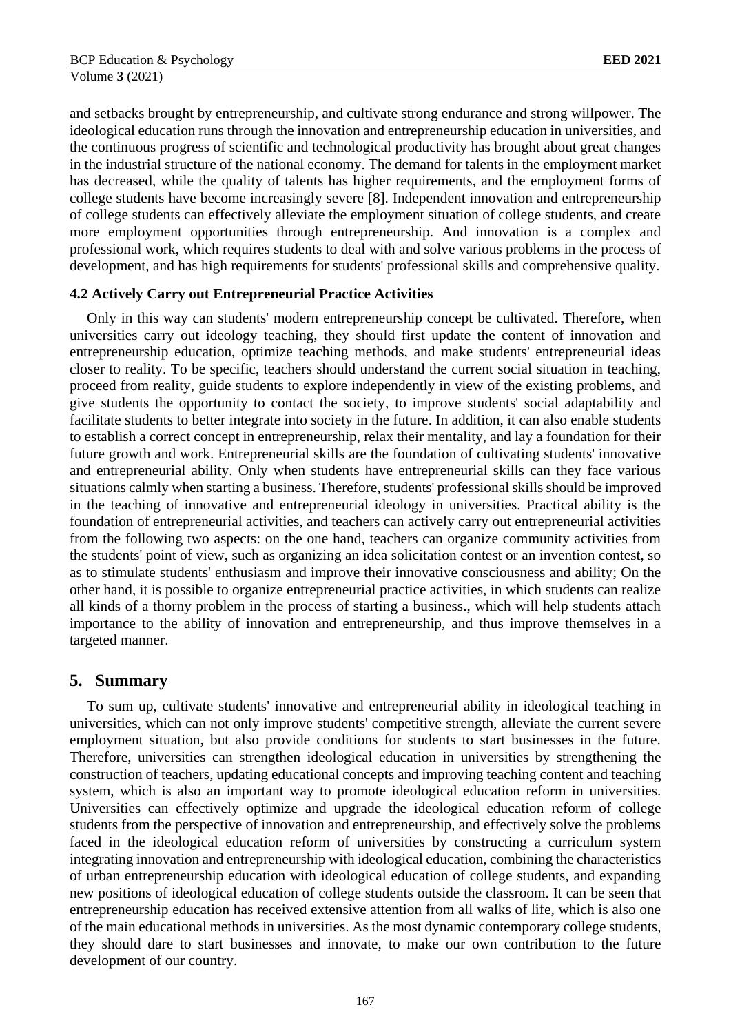and setbacks brought by entrepreneurship, and cultivate strong endurance and strong willpower. The ideological education runs through the innovation and entrepreneurship education in universities, and the continuous progress of scientific and technological productivity has brought about great changes in the industrial structure of the national economy. The demand for talents in the employment market has decreased, while the quality of talents has higher requirements, and the employment forms of college students have become increasingly severe [8]. Independent innovation and entrepreneurship of college students can effectively alleviate the employment situation of college students, and create more employment opportunities through entrepreneurship. And innovation is a complex and professional work, which requires students to deal with and solve various problems in the process of development, and has high requirements for students' professional skills and comprehensive quality.

#### **4.2 Actively Carry out Entrepreneurial Practice Activities**

Only in this way can students' modern entrepreneurship concept be cultivated. Therefore, when universities carry out ideology teaching, they should first update the content of innovation and entrepreneurship education, optimize teaching methods, and make students' entrepreneurial ideas closer to reality. To be specific, teachers should understand the current social situation in teaching, proceed from reality, guide students to explore independently in view of the existing problems, and give students the opportunity to contact the society, to improve students' social adaptability and facilitate students to better integrate into society in the future. In addition, it can also enable students to establish a correct concept in entrepreneurship, relax their mentality, and lay a foundation for their future growth and work. Entrepreneurial skills are the foundation of cultivating students' innovative and entrepreneurial ability. Only when students have entrepreneurial skills can they face various situations calmly when starting a business. Therefore, students' professional skills should be improved in the teaching of innovative and entrepreneurial ideology in universities. Practical ability is the foundation of entrepreneurial activities, and teachers can actively carry out entrepreneurial activities from the following two aspects: on the one hand, teachers can organize community activities from the students' point of view, such as organizing an idea solicitation contest or an invention contest, so as to stimulate students' enthusiasm and improve their innovative consciousness and ability; On the other hand, it is possible to organize entrepreneurial practice activities, in which students can realize all kinds of a thorny problem in the process of starting a business., which will help students attach importance to the ability of innovation and entrepreneurship, and thus improve themselves in a targeted manner.

### **5. Summary**

To sum up, cultivate students' innovative and entrepreneurial ability in ideological teaching in universities, which can not only improve students' competitive strength, alleviate the current severe employment situation, but also provide conditions for students to start businesses in the future. Therefore, universities can strengthen ideological education in universities by strengthening the construction of teachers, updating educational concepts and improving teaching content and teaching system, which is also an important way to promote ideological education reform in universities. Universities can effectively optimize and upgrade the ideological education reform of college students from the perspective of innovation and entrepreneurship, and effectively solve the problems faced in the ideological education reform of universities by constructing a curriculum system integrating innovation and entrepreneurship with ideological education, combining the characteristics of urban entrepreneurship education with ideological education of college students, and expanding new positions of ideological education of college students outside the classroom. It can be seen that entrepreneurship education has received extensive attention from all walks of life, which is also one of the main educational methods in universities. As the most dynamic contemporary college students, they should dare to start businesses and innovate, to make our own contribution to the future development of our country.